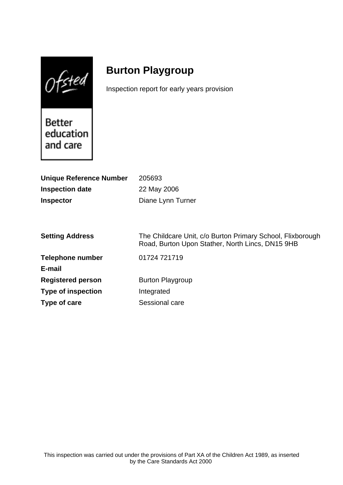$0$ fsted

# **Burton Playgroup**

Inspection report for early years provision

Better education and care

| <b>Unique Reference Number</b> | 205693                                                                                                         |
|--------------------------------|----------------------------------------------------------------------------------------------------------------|
| <b>Inspection date</b>         | 22 May 2006                                                                                                    |
| <b>Inspector</b>               | Diane Lynn Turner                                                                                              |
|                                |                                                                                                                |
|                                |                                                                                                                |
| <b>Setting Address</b>         | The Childcare Unit, c/o Burton Primary School, Flixborough<br>Road, Burton Upon Stather, North Lincs, DN15 9HB |
| <b>Telephone number</b>        | 01724 721719                                                                                                   |
| E-mail                         |                                                                                                                |
| <b>Registered person</b>       | <b>Burton Playgroup</b>                                                                                        |
| <b>Type of inspection</b>      | Integrated                                                                                                     |
| Type of care                   | Sessional care                                                                                                 |
|                                |                                                                                                                |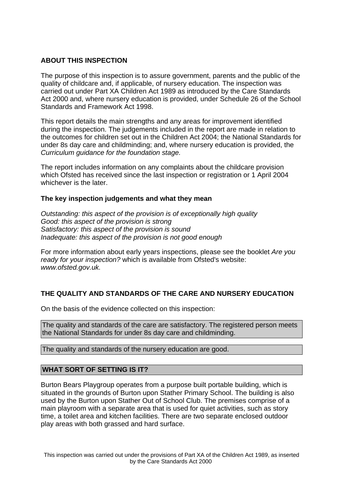## **ABOUT THIS INSPECTION**

The purpose of this inspection is to assure government, parents and the public of the quality of childcare and, if applicable, of nursery education. The inspection was carried out under Part XA Children Act 1989 as introduced by the Care Standards Act 2000 and, where nursery education is provided, under Schedule 26 of the School Standards and Framework Act 1998.

This report details the main strengths and any areas for improvement identified during the inspection. The judgements included in the report are made in relation to the outcomes for children set out in the Children Act 2004; the National Standards for under 8s day care and childminding; and, where nursery education is provided, the Curriculum guidance for the foundation stage.

The report includes information on any complaints about the childcare provision which Ofsted has received since the last inspection or registration or 1 April 2004 whichever is the later.

#### **The key inspection judgements and what they mean**

Outstanding: this aspect of the provision is of exceptionally high quality Good: this aspect of the provision is strong Satisfactory: this aspect of the provision is sound Inadequate: this aspect of the provision is not good enough

For more information about early years inspections, please see the booklet Are you ready for your inspection? which is available from Ofsted's website: www.ofsted.gov.uk.

# **THE QUALITY AND STANDARDS OF THE CARE AND NURSERY EDUCATION**

On the basis of the evidence collected on this inspection:

The quality and standards of the care are satisfactory. The registered person meets the National Standards for under 8s day care and childminding.

The quality and standards of the nursery education are good.

#### **WHAT SORT OF SETTING IS IT?**

Burton Bears Playgroup operates from a purpose built portable building, which is situated in the grounds of Burton upon Stather Primary School. The building is also used by the Burton upon Stather Out of School Club. The premises comprise of a main playroom with a separate area that is used for quiet activities, such as story time, a toilet area and kitchen facilities. There are two separate enclosed outdoor play areas with both grassed and hard surface.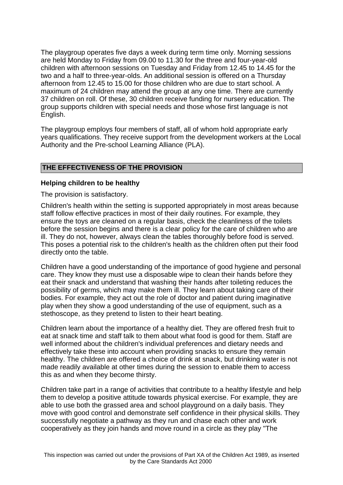The playgroup operates five days a week during term time only. Morning sessions are held Monday to Friday from 09.00 to 11.30 for the three and four-year-old children with afternoon sessions on Tuesday and Friday from 12.45 to 14.45 for the two and a half to three-year-olds. An additional session is offered on a Thursday afternoon from 12.45 to 15.00 for those children who are due to start school. A maximum of 24 children may attend the group at any one time. There are currently 37 children on roll. Of these, 30 children receive funding for nursery education. The group supports children with special needs and those whose first language is not English.

The playgroup employs four members of staff, all of whom hold appropriate early years qualifications. They receive support from the development workers at the Local Authority and the Pre-school Learning Alliance (PLA).

## **THE EFFECTIVENESS OF THE PROVISION**

#### **Helping children to be healthy**

The provision is satisfactory.

Children's health within the setting is supported appropriately in most areas because staff follow effective practices in most of their daily routines. For example, they ensure the toys are cleaned on a regular basis, check the cleanliness of the toilets before the session begins and there is a clear policy for the care of children who are ill. They do not, however, always clean the tables thoroughly before food is served. This poses a potential risk to the children's health as the children often put their food directly onto the table.

Children have a good understanding of the importance of good hygiene and personal care. They know they must use a disposable wipe to clean their hands before they eat their snack and understand that washing their hands after toileting reduces the possibility of germs, which may make them ill. They learn about taking care of their bodies. For example, they act out the role of doctor and patient during imaginative play when they show a good understanding of the use of equipment, such as a stethoscope, as they pretend to listen to their heart beating.

Children learn about the importance of a healthy diet. They are offered fresh fruit to eat at snack time and staff talk to them about what food is good for them. Staff are well informed about the children's individual preferences and dietary needs and effectively take these into account when providing snacks to ensure they remain healthy. The children are offered a choice of drink at snack, but drinking water is not made readily available at other times during the session to enable them to access this as and when they become thirsty.

Children take part in a range of activities that contribute to a healthy lifestyle and help them to develop a positive attitude towards physical exercise. For example, they are able to use both the grassed area and school playground on a daily basis. They move with good control and demonstrate self confidence in their physical skills. They successfully negotiate a pathway as they run and chase each other and work cooperatively as they join hands and move round in a circle as they play "The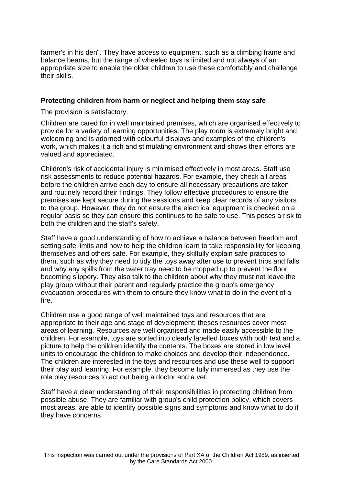farmer's in his den". They have access to equipment, such as a climbing frame and balance beams, but the range of wheeled toys is limited and not always of an appropriate size to enable the older children to use these comfortably and challenge their skills.

#### **Protecting children from harm or neglect and helping them stay safe**

The provision is satisfactory.

Children are cared for in well maintained premises, which are organised effectively to provide for a variety of learning opportunities. The play room is extremely bright and welcoming and is adorned with colourful displays and examples of the children's work, which makes it a rich and stimulating environment and shows their efforts are valued and appreciated.

Children's risk of accidental injury is minimised effectively in most areas. Staff use risk assessments to reduce potential hazards. For example, they check all areas before the children arrive each day to ensure all necessary precautions are taken and routinely record their findings. They follow effective procedures to ensure the premises are kept secure during the sessions and keep clear records of any visitors to the group. However, they do not ensure the electrical equipment is checked on a regular basis so they can ensure this continues to be safe to use. This poses a risk to both the children and the staff's safety.

Staff have a good understanding of how to achieve a balance between freedom and setting safe limits and how to help the children learn to take responsibility for keeping themselves and others safe. For example, they skilfully explain safe practices to them, such as why they need to tidy the toys away after use to prevent trips and falls and why any spills from the water tray need to be mopped up to prevent the floor becoming slippery. They also talk to the children about why they must not leave the play group without their parent and regularly practice the group's emergency evacuation procedures with them to ensure they know what to do in the event of a fire.

Children use a good range of well maintained toys and resources that are appropriate to their age and stage of development; theses resources cover most areas of learning. Resources are well organised and made easily accessible to the children. For example, toys are sorted into clearly labelled boxes with both text and a picture to help the children identify the contents. The boxes are stored in low level units to encourage the children to make choices and develop their independence. The children are interested in the toys and resources and use these well to support their play and learning. For example, they become fully immersed as they use the role play resources to act out being a doctor and a vet.

Staff have a clear understanding of their responsibilities in protecting children from possible abuse. They are familiar with group's child protection policy, which covers most areas, are able to identify possible signs and symptoms and know what to do if they have concerns.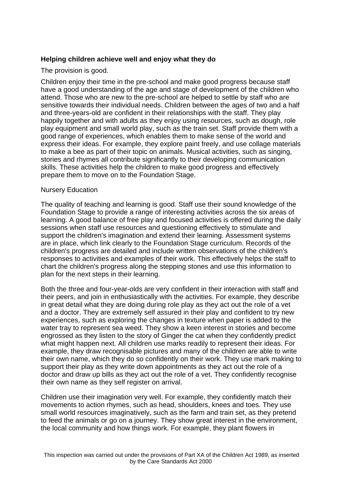## **Helping children achieve well and enjoy what they do**

The provision is good.

Children enjoy their time in the pre-school and make good progress because staff have a good understanding of the age and stage of development of the children who attend. Those who are new to the pre-school are helped to settle by staff who are sensitive towards their individual needs. Children between the ages of two and a half and three-years-old are confident in their relationships with the staff. They play happily together and with adults as they enjoy using resources, such as dough, role play equipment and small world play, such as the train set. Staff provide them with a good range of experiences, which enables them to make sense of the world and express their ideas. For example, they explore paint freely, and use collage materials to make a bee as part of their topic on animals. Musical activities, such as singing, stories and rhymes all contribute significantly to their developing communication skills. These activities help the children to make good progress and effectively prepare them to move on to the Foundation Stage.

#### Nursery Education

The quality of teaching and learning is good. Staff use their sound knowledge of the Foundation Stage to provide a range of interesting activities across the six areas of learning. A good balance of free play and focused activities is offered during the daily sessions when staff use resources and questioning effectively to stimulate and support the children's imagination and extend their learning. Assessment systems are in place, which link clearly to the Foundation Stage curriculum. Records of the children's progress are detailed and include written observations of the children's responses to activities and examples of their work. This effectively helps the staff to chart the children's progress along the stepping stones and use this information to plan for the next steps in their learning.

Both the three and four-year-olds are very confident in their interaction with staff and their peers, and join in enthusiastically with the activities. For example, they describe in great detail what they are doing during role play as they act out the role of a vet and a doctor. They are extremely self assured in their play and confident to try new experiences, such as exploring the changes in texture when paper is added to the water tray to represent sea weed. They show a keen interest in stories and become engrossed as they listen to the story of Ginger the cat when they confidently predict what might happen next. All children use marks readily to represent their ideas. For example, they draw recognisable pictures and many of the children are able to write their own name, which they do so confidently on their work. They use mark making to support their play as they write down appointments as they act out the role of a doctor and draw up bills as they act out the role of a vet. They confidently recognise their own name as they self register on arrival.

Children use their imagination very well. For example, they confidently match their movements to action rhymes, such as head, shoulders, knees and toes. They use small world resources imaginatively, such as the farm and train set, as they pretend to feed the animals or go on a journey. They show great interest in the environment, the local community and how things work. For example, they plant flowers in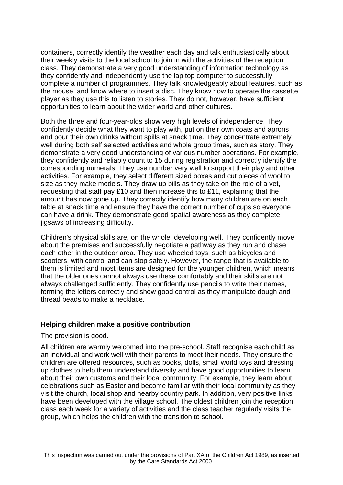containers, correctly identify the weather each day and talk enthusiastically about their weekly visits to the local school to join in with the activities of the reception class. They demonstrate a very good understanding of information technology as they confidently and independently use the lap top computer to successfully complete a number of programmes. They talk knowledgeably about features, such as the mouse, and know where to insert a disc. They know how to operate the cassette player as they use this to listen to stories. They do not, however, have sufficient opportunities to learn about the wider world and other cultures.

Both the three and four-year-olds show very high levels of independence. They confidently decide what they want to play with, put on their own coats and aprons and pour their own drinks without spills at snack time. They concentrate extremely well during both self selected activities and whole group times, such as story. They demonstrate a very good understanding of various number operations. For example, they confidently and reliably count to 15 during registration and correctly identify the corresponding numerals. They use number very well to support their play and other activities. For example, they select different sized boxes and cut pieces of wool to size as they make models. They draw up bills as they take on the role of a vet, requesting that staff pay £10 and then increase this to £11, explaining that the amount has now gone up. They correctly identify how many children are on each table at snack time and ensure they have the correct number of cups so everyone can have a drink. They demonstrate good spatial awareness as they complete jigsaws of increasing difficulty.

Children's physical skills are, on the whole, developing well. They confidently move about the premises and successfully negotiate a pathway as they run and chase each other in the outdoor area. They use wheeled toys, such as bicycles and scooters, with control and can stop safely. However, the range that is available to them is limited and most items are designed for the younger children, which means that the older ones cannot always use these comfortably and their skills are not always challenged sufficiently. They confidently use pencils to write their names, forming the letters correctly and show good control as they manipulate dough and thread beads to make a necklace.

#### **Helping children make a positive contribution**

The provision is good.

All children are warmly welcomed into the pre-school. Staff recognise each child as an individual and work well with their parents to meet their needs. They ensure the children are offered resources, such as books, dolls, small world toys and dressing up clothes to help them understand diversity and have good opportunities to learn about their own customs and their local community. For example, they learn about celebrations such as Easter and become familiar with their local community as they visit the church, local shop and nearby country park. In addition, very positive links have been developed with the village school. The oldest children join the reception class each week for a variety of activities and the class teacher regularly visits the group, which helps the children with the transition to school.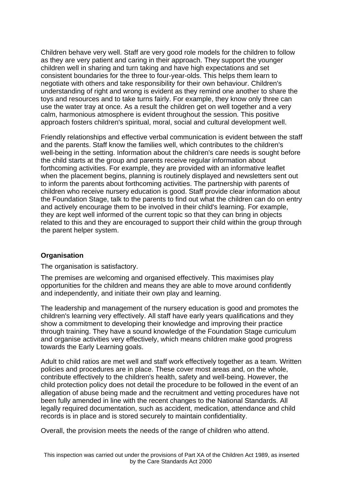Children behave very well. Staff are very good role models for the children to follow as they are very patient and caring in their approach. They support the younger children well in sharing and turn taking and have high expectations and set consistent boundaries for the three to four-year-olds. This helps them learn to negotiate with others and take responsibility for their own behaviour. Children's understanding of right and wrong is evident as they remind one another to share the toys and resources and to take turns fairly. For example, they know only three can use the water tray at once. As a result the children get on well together and a very calm, harmonious atmosphere is evident throughout the session. This positive approach fosters children's spiritual, moral, social and cultural development well.

Friendly relationships and effective verbal communication is evident between the staff and the parents. Staff know the families well, which contributes to the children's well-being in the setting. Information about the children's care needs is sought before the child starts at the group and parents receive regular information about forthcoming activities. For example, they are provided with an informative leaflet when the placement begins, planning is routinely displayed and newsletters sent out to inform the parents about forthcoming activities. The partnership with parents of children who receive nursery education is good. Staff provide clear information about the Foundation Stage, talk to the parents to find out what the children can do on entry and actively encourage them to be involved in their child's learning. For example, they are kept well informed of the current topic so that they can bring in objects related to this and they are encouraged to support their child within the group through the parent helper system.

#### **Organisation**

The organisation is satisfactory.

The premises are welcoming and organised effectively. This maximises play opportunities for the children and means they are able to move around confidently and independently, and initiate their own play and learning.

The leadership and management of the nursery education is good and promotes the children's learning very effectively. All staff have early years qualifications and they show a commitment to developing their knowledge and improving their practice through training. They have a sound knowledge of the Foundation Stage curriculum and organise activities very effectively, which means children make good progress towards the Early Learning goals.

Adult to child ratios are met well and staff work effectively together as a team. Written policies and procedures are in place. These cover most areas and, on the whole, contribute effectively to the children's health, safety and well-being. However, the child protection policy does not detail the procedure to be followed in the event of an allegation of abuse being made and the recruitment and vetting procedures have not been fully amended in line with the recent changes to the National Standards. All legally required documentation, such as accident, medication, attendance and child records is in place and is stored securely to maintain confidentiality.

Overall, the provision meets the needs of the range of children who attend.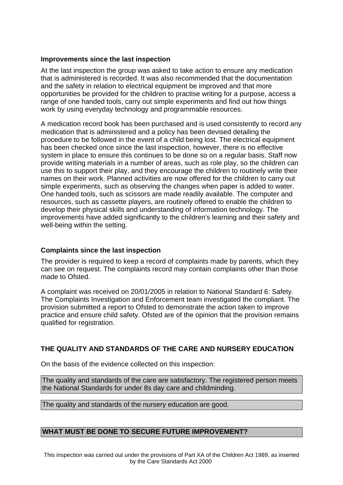## **Improvements since the last inspection**

At the last inspection the group was asked to take action to ensure any medication that is administered is recorded. It was also recommended that the documentation and the safety in relation to electrical equipment be improved and that more opportunities be provided for the children to practise writing for a purpose, access a range of one handed tools, carry out simple experiments and find out how things work by using everyday technology and programmable resources.

A medication record book has been purchased and is used consistently to record any medication that is administered and a policy has been devised detailing the procedure to be followed in the event of a child being lost. The electrical equipment has been checked once since the last inspection, however, there is no effective system in place to ensure this continues to be done so on a regular basis. Staff now provide writing materials in a number of areas, such as role play, so the children can use this to support their play, and they encourage the children to routinely write their names on their work. Planned activities are now offered for the children to carry out simple experiments, such as observing the changes when paper is added to water. One handed tools, such as scissors are made readily available. The computer and resources, such as cassette players, are routinely offered to enable the children to develop their physical skills and understanding of information technology. The improvements have added significantly to the children's learning and their safety and well-being within the setting.

#### **Complaints since the last inspection**

The provider is required to keep a record of complaints made by parents, which they can see on request. The complaints record may contain complaints other than those made to Ofsted.

A complaint was received on 20/01/2005 in relation to National Standard 6: Safety. The Complaints Investigation and Enforcement team investigated the compliant. The provision submitted a report to Ofsted to demonstrate the action taken to improve practice and ensure child safety. Ofsted are of the opinion that the provision remains qualified for registration.

# **THE QUALITY AND STANDARDS OF THE CARE AND NURSERY EDUCATION**

On the basis of the evidence collected on this inspection:

The quality and standards of the care are satisfactory. The registered person meets the National Standards for under 8s day care and childminding.

The quality and standards of the nursery education are good.

#### **WHAT MUST BE DONE TO SECURE FUTURE IMPROVEMENT?**